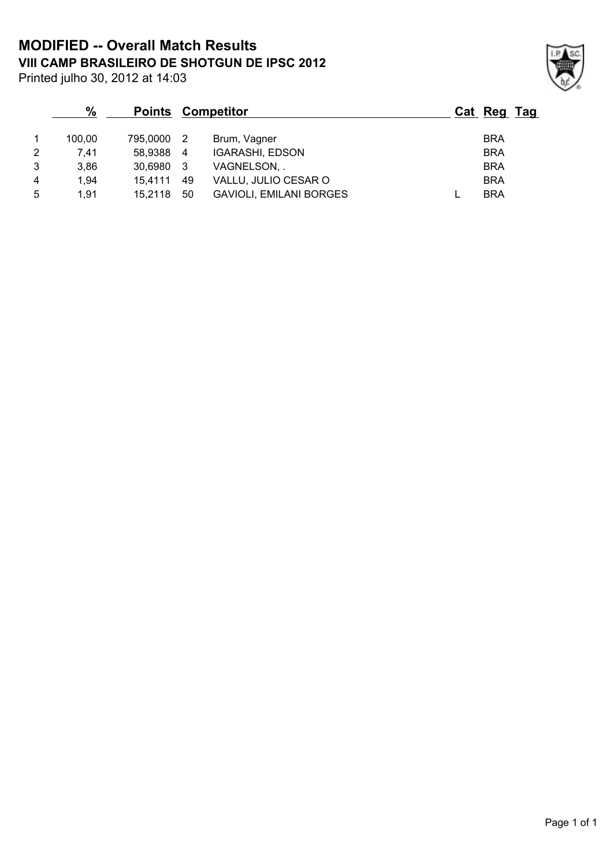**VIII CAMP BRASILEIRO DE SHOTGUN DE IPSC 2012 MODIFIED -- Overall Match Results**

Printed julho 30, 2012 at 14:03

|   | $\frac{0}{0}$ | <b>Points</b> | Competitor     |                                |  | Cat Reg Tag |  |
|---|---------------|---------------|----------------|--------------------------------|--|-------------|--|
|   | 100.00        | 795,0000      | $\overline{2}$ | Brum, Vagner                   |  | <b>BRA</b>  |  |
| 2 | 7.41          | 58,9388       | -4             | <b>IGARASHI, EDSON</b>         |  | <b>BRA</b>  |  |
| 3 | 3.86          | 30.6980       | - 3            | VAGNELSON, .                   |  | <b>BRA</b>  |  |
| 4 | 1.94          | 15.4111       | 49             | VALLU, JULIO CESAR O           |  | <b>BRA</b>  |  |
| 5 | 1,91          | 15.2118       | 50             | <b>GAVIOLI, EMILANI BORGES</b> |  | <b>BRA</b>  |  |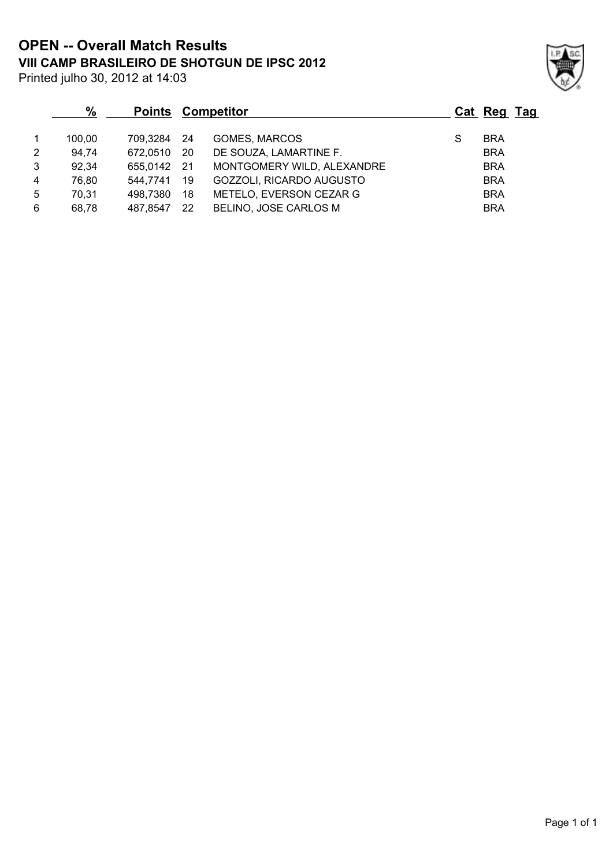**VIII CAMP BRASILEIRO DE SHOTGUN DE IPSC 2012 OPEN -- Overall Match Results**

| Printed julho 30, 2012 at 14:03 |
|---------------------------------|
|---------------------------------|

|                | $\%$   | <b>Points</b> | Competitor |                            |   | Cat Reg Tag |  |
|----------------|--------|---------------|------------|----------------------------|---|-------------|--|
|                |        |               |            |                            |   |             |  |
|                | 100.00 | 709.3284      | -24        | <b>GOMES, MARCOS</b>       | S | <b>BRA</b>  |  |
| 2              | 94,74  | 672,0510      | -20        | DE SOUZA, LAMARTINE F.     |   | <b>BRA</b>  |  |
| 3              | 92,34  | 655,0142      | 21         | MONTGOMERY WILD, ALEXANDRE |   | <b>BRA</b>  |  |
| $\overline{4}$ | 76.80  | 544,7741      | 19         | GOZZOLI, RICARDO AUGUSTO   |   | <b>BRA</b>  |  |
| -5             | 70,31  | 498,7380      | 18         | METELO, EVERSON CEZAR G    |   | <b>BRA</b>  |  |
| 6              | 68,78  | 487.8547      | 22         | BELINO, JOSE CARLOS M      |   | <b>BRA</b>  |  |

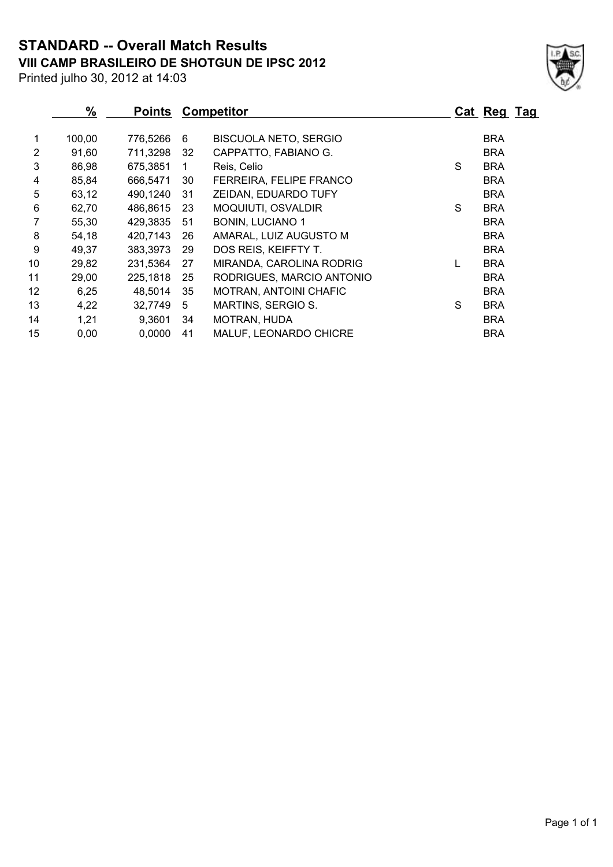**VIII CAMP BRASILEIRO DE SHOTGUN DE IPSC 2012 STANDARD -- Overall Match Results**



Printed julho 30, 2012 at 14:03

|    | $\%$   | <b>Points</b> |    | <b>Competitor</b>             |   | Cat Reg Tag |  |
|----|--------|---------------|----|-------------------------------|---|-------------|--|
|    | 100,00 | 776,5266      | 6  | <b>BISCUOLA NETO, SERGIO</b>  |   | <b>BRA</b>  |  |
| 2  | 91,60  | 711,3298      | 32 | CAPPATTO, FABIANO G.          |   | <b>BRA</b>  |  |
| 3  | 86,98  | 675,3851      | 1  | Reis, Celio                   | S | <b>BRA</b>  |  |
| 4  | 85,84  | 666,5471      | 30 | FERREIRA, FELIPE FRANCO       |   | <b>BRA</b>  |  |
| 5  | 63,12  | 490,1240      | 31 | ZEIDAN, EDUARDO TUFY          |   | <b>BRA</b>  |  |
| 6  | 62,70  | 486,8615      | 23 | MOQUIUTI, OSVALDIR            | S | <b>BRA</b>  |  |
| 7  | 55,30  | 429,3835      | 51 | <b>BONIN, LUCIANO 1</b>       |   | <b>BRA</b>  |  |
| 8  | 54,18  | 420,7143      | 26 | AMARAL, LUIZ AUGUSTO M        |   | <b>BRA</b>  |  |
| 9  | 49,37  | 383,3973      | 29 | DOS REIS, KEIFFTY T.          |   | <b>BRA</b>  |  |
| 10 | 29,82  | 231,5364      | 27 | MIRANDA, CAROLINA RODRIG      |   | <b>BRA</b>  |  |
| 11 | 29,00  | 225,1818      | 25 | RODRIGUES, MARCIO ANTONIO     |   | <b>BRA</b>  |  |
| 12 | 6,25   | 48,5014       | 35 | <b>MOTRAN, ANTOINI CHAFIC</b> |   | <b>BRA</b>  |  |
| 13 | 4,22   | 32,7749       | 5  | MARTINS, SERGIO S.            | S | <b>BRA</b>  |  |
| 14 | 1,21   | 9,3601        | 34 | MOTRAN, HUDA                  |   | <b>BRA</b>  |  |
| 15 | 0,00   | 0,0000        | 41 | MALUF, LEONARDO CHICRE        |   | <b>BRA</b>  |  |